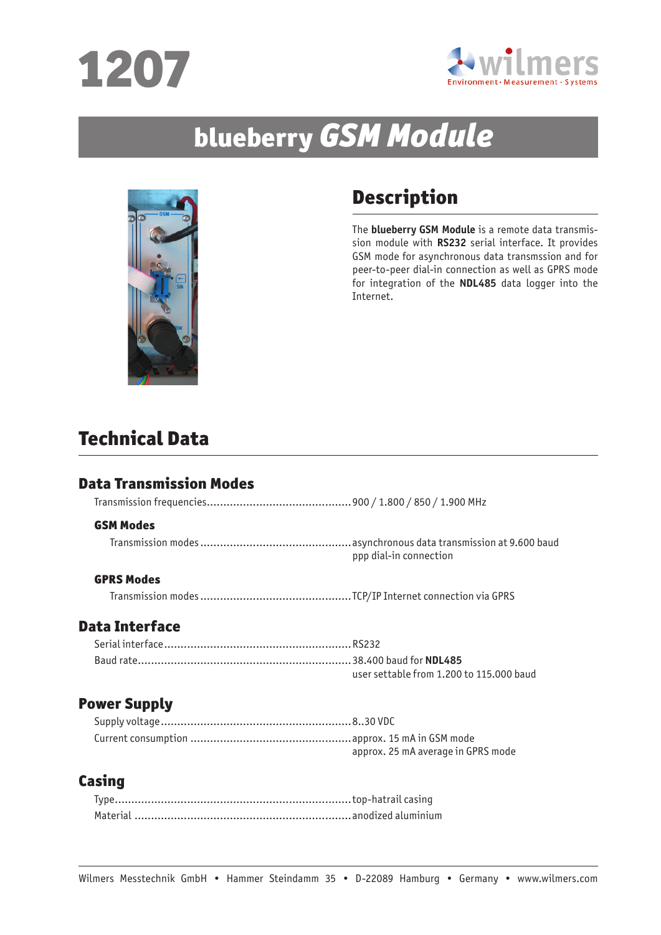



# blueberry GSM Module



# Description

The **blueberry GSM Module** is a remote data transmission module with **RS232** serial interface. It provides GSM mode for asynchronous data transmssion and for peer-to-peer dial-in connection as well as GPRS mode for integration of the **NDL485** data logger into the Internet.

# Technical Data

## Data Transmission Modes

Transmission frequencies............................................900 / 1.800 / 850 / 1.900 MHz

#### GSM Modes

Transmission modes..............................................asynchronous data transmission at 9.600 baud ppp dial-in connection

#### GPRS Modes

Transmission modes..............................................TCP/IP Internet connection via GPRS

#### Data Interface

| user settable from 1.200 to 115,000 baud |
|------------------------------------------|

#### Power Supply

| approx. 25 mA average in GPRS mode |
|------------------------------------|

## Casing